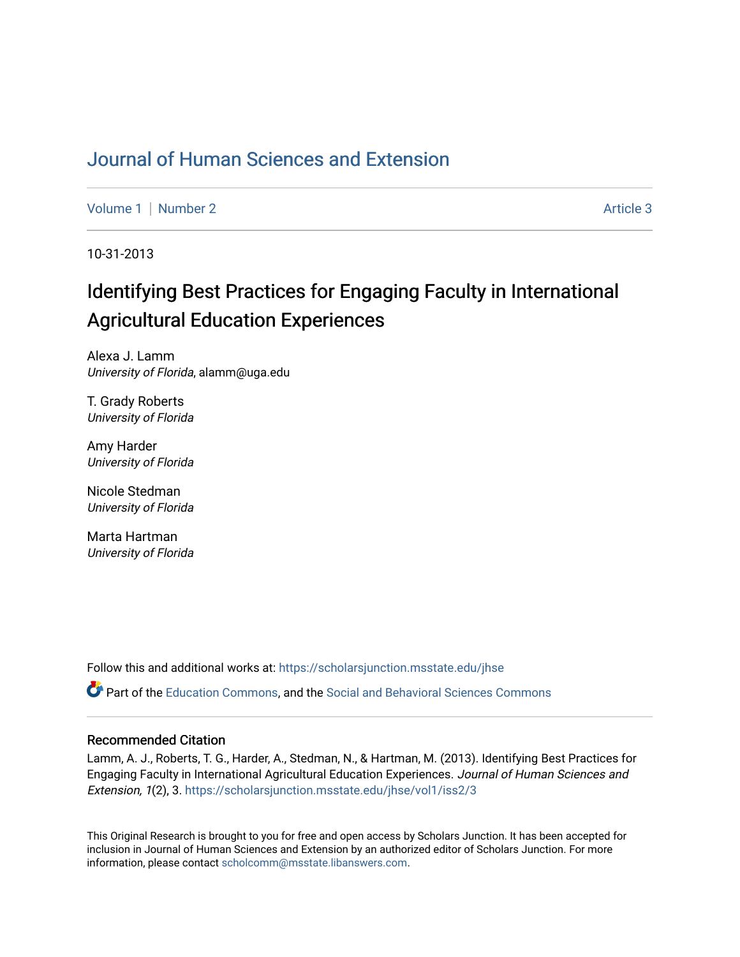### [Journal of Human Sciences and Extension](https://scholarsjunction.msstate.edu/jhse)

[Volume 1](https://scholarsjunction.msstate.edu/jhse/vol1) | [Number 2](https://scholarsjunction.msstate.edu/jhse/vol1/iss2) Article 3

10-31-2013

# Identifying Best Practices for Engaging Faculty in International Agricultural Education Experiences

Alexa J. Lamm University of Florida, alamm@uga.edu

T. Grady Roberts University of Florida

Amy Harder University of Florida

Nicole Stedman University of Florida

Marta Hartman University of Florida

Follow this and additional works at: [https://scholarsjunction.msstate.edu/jhse](https://scholarsjunction.msstate.edu/jhse?utm_source=scholarsjunction.msstate.edu%2Fjhse%2Fvol1%2Fiss2%2F3&utm_medium=PDF&utm_campaign=PDFCoverPages)

Part of the [Education Commons](http://network.bepress.com/hgg/discipline/784?utm_source=scholarsjunction.msstate.edu%2Fjhse%2Fvol1%2Fiss2%2F3&utm_medium=PDF&utm_campaign=PDFCoverPages), and the [Social and Behavioral Sciences Commons](http://network.bepress.com/hgg/discipline/316?utm_source=scholarsjunction.msstate.edu%2Fjhse%2Fvol1%2Fiss2%2F3&utm_medium=PDF&utm_campaign=PDFCoverPages) 

#### Recommended Citation

Lamm, A. J., Roberts, T. G., Harder, A., Stedman, N., & Hartman, M. (2013). Identifying Best Practices for Engaging Faculty in International Agricultural Education Experiences. Journal of Human Sciences and Extension, 1(2), 3. [https://scholarsjunction.msstate.edu/jhse/vol1/iss2/3](https://scholarsjunction.msstate.edu/jhse/vol1/iss2/3?utm_source=scholarsjunction.msstate.edu%2Fjhse%2Fvol1%2Fiss2%2F3&utm_medium=PDF&utm_campaign=PDFCoverPages) 

This Original Research is brought to you for free and open access by Scholars Junction. It has been accepted for inclusion in Journal of Human Sciences and Extension by an authorized editor of Scholars Junction. For more information, please contact [scholcomm@msstate.libanswers.com](mailto:scholcomm@msstate.libanswers.com).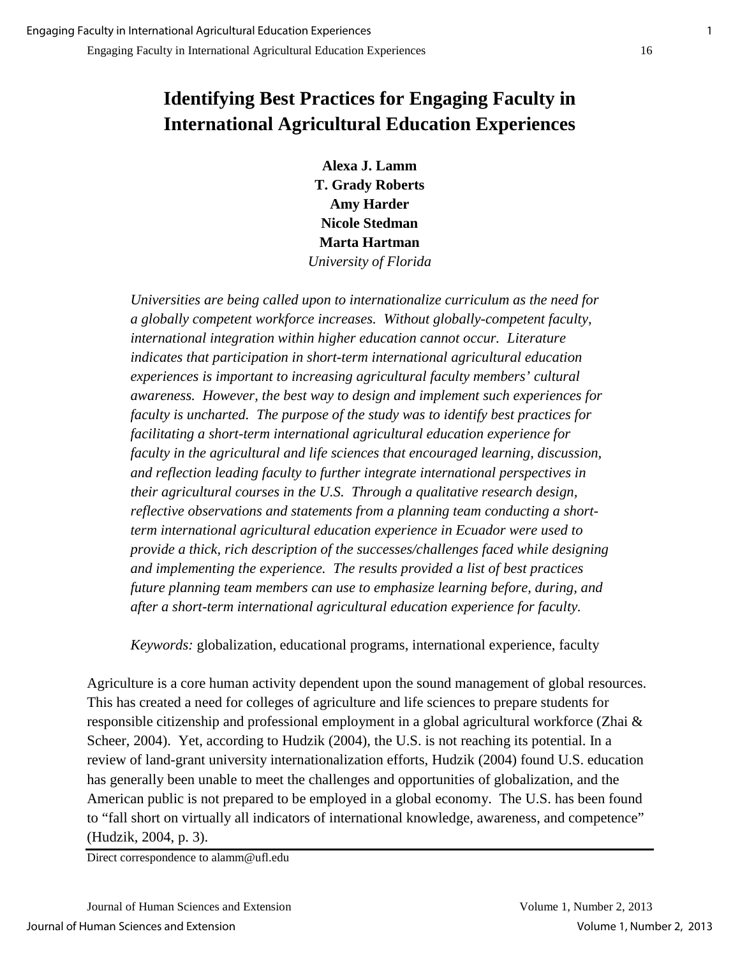## **Identifying Best Practices for Engaging Faculty in International Agricultural Education Experiences**

**Alexa J. Lamm T. Grady Roberts Amy Harder Nicole Stedman Marta Hartman**  *University of Florida* 

*Universities are being called upon to internationalize curriculum as the need for a globally competent workforce increases. Without globally-competent faculty, international integration within higher education cannot occur. Literature indicates that participation in short-term international agricultural education experiences is important to increasing agricultural faculty members' cultural awareness. However, the best way to design and implement such experiences for faculty is uncharted. The purpose of the study was to identify best practices for facilitating a short-term international agricultural education experience for faculty in the agricultural and life sciences that encouraged learning, discussion, and reflection leading faculty to further integrate international perspectives in their agricultural courses in the U.S. Through a qualitative research design, reflective observations and statements from a planning team conducting a shortterm international agricultural education experience in Ecuador were used to provide a thick, rich description of the successes/challenges faced while designing and implementing the experience. The results provided a list of best practices future planning team members can use to emphasize learning before, during, and after a short-term international agricultural education experience for faculty.* 

*Keywords:* globalization, educational programs, international experience, faculty

Agriculture is a core human activity dependent upon the sound management of global resources. This has created a need for colleges of agriculture and life sciences to prepare students for responsible citizenship and professional employment in a global agricultural workforce (Zhai & Scheer, 2004). Yet, according to Hudzik (2004), the U.S. is not reaching its potential. In a review of land-grant university internationalization efforts, Hudzik (2004) found U.S. education has generally been unable to meet the challenges and opportunities of globalization, and the American public is not prepared to be employed in a global economy. The U.S. has been found to "fall short on virtually all indicators of international knowledge, awareness, and competence" (Hudzik, 2004, p. 3).

Direct correspondence to alamm@ufl.edu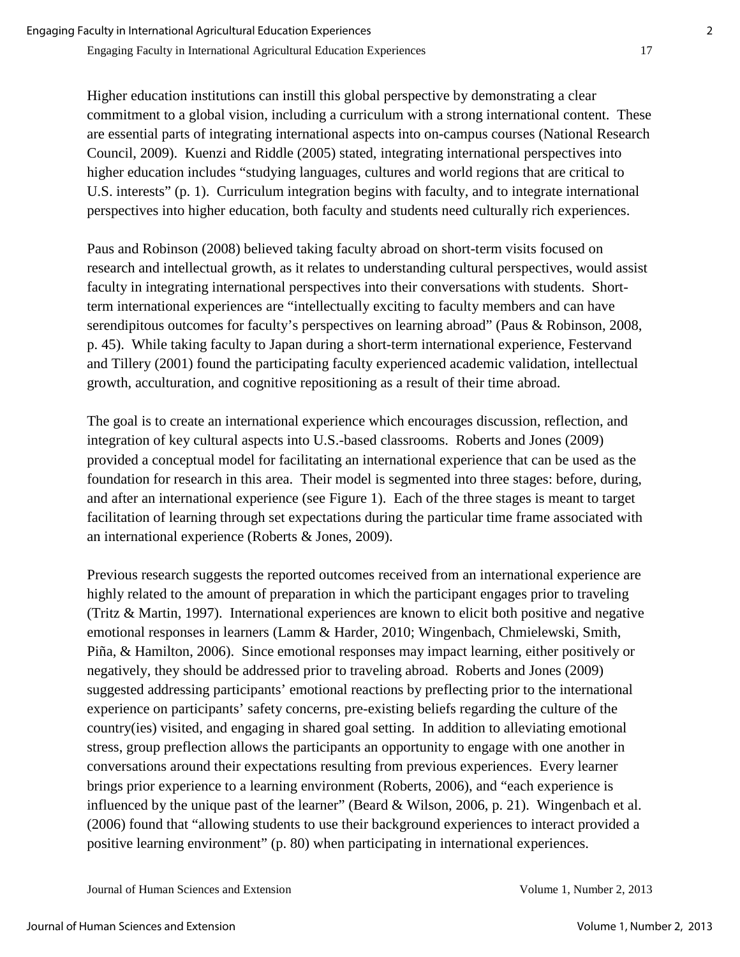Higher education institutions can instill this global perspective by demonstrating a clear commitment to a global vision, including a curriculum with a strong international content. These are essential parts of integrating international aspects into on-campus courses (National Research Council, 2009). Kuenzi and Riddle (2005) stated, integrating international perspectives into higher education includes "studying languages, cultures and world regions that are critical to U.S. interests" (p. 1). Curriculum integration begins with faculty, and to integrate international perspectives into higher education, both faculty and students need culturally rich experiences.

Paus and Robinson (2008) believed taking faculty abroad on short-term visits focused on research and intellectual growth, as it relates to understanding cultural perspectives, would assist faculty in integrating international perspectives into their conversations with students. Shortterm international experiences are "intellectually exciting to faculty members and can have serendipitous outcomes for faculty's perspectives on learning abroad" (Paus & Robinson, 2008, p. 45). While taking faculty to Japan during a short-term international experience, Festervand and Tillery (2001) found the participating faculty experienced academic validation, intellectual growth, acculturation, and cognitive repositioning as a result of their time abroad.

The goal is to create an international experience which encourages discussion, reflection, and integration of key cultural aspects into U.S.-based classrooms. Roberts and Jones (2009) provided a conceptual model for facilitating an international experience that can be used as the foundation for research in this area. Their model is segmented into three stages: before, during, and after an international experience (see Figure 1). Each of the three stages is meant to target facilitation of learning through set expectations during the particular time frame associated with an international experience (Roberts & Jones, 2009).

Previous research suggests the reported outcomes received from an international experience are highly related to the amount of preparation in which the participant engages prior to traveling (Tritz & Martin, 1997). International experiences are known to elicit both positive and negative emotional responses in learners (Lamm & Harder, 2010; Wingenbach, Chmielewski, Smith, Piña, & Hamilton, 2006). Since emotional responses may impact learning, either positively or negatively, they should be addressed prior to traveling abroad. Roberts and Jones (2009) suggested addressing participants' emotional reactions by preflecting prior to the international experience on participants' safety concerns, pre-existing beliefs regarding the culture of the country(ies) visited, and engaging in shared goal setting. In addition to alleviating emotional stress, group preflection allows the participants an opportunity to engage with one another in conversations around their expectations resulting from previous experiences. Every learner brings prior experience to a learning environment (Roberts, 2006), and "each experience is influenced by the unique past of the learner" (Beard & Wilson, 2006, p. 21). Wingenbach et al. (2006) found that "allowing students to use their background experiences to interact provided a positive learning environment" (p. 80) when participating in international experiences.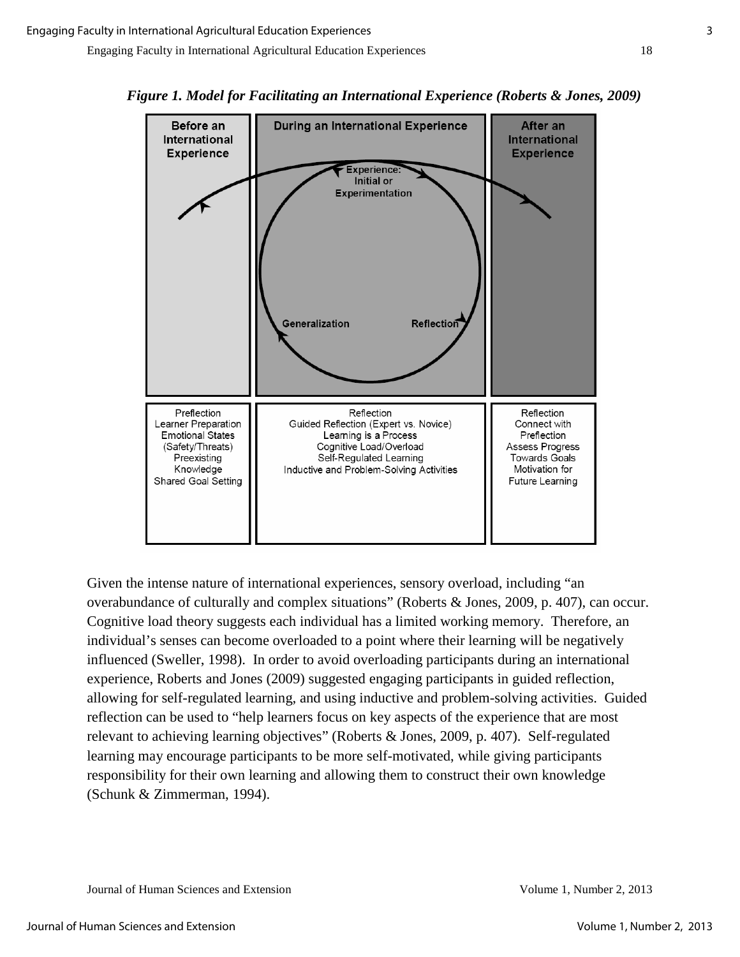



Given the intense nature of international experiences, sensory overload, including "an overabundance of culturally and complex situations" (Roberts & Jones, 2009, p. 407), can occur. Cognitive load theory suggests each individual has a limited working memory. Therefore, an individual's senses can become overloaded to a point where their learning will be negatively influenced (Sweller, 1998). In order to avoid overloading participants during an international experience, Roberts and Jones (2009) suggested engaging participants in guided reflection, allowing for self-regulated learning, and using inductive and problem-solving activities. Guided reflection can be used to "help learners focus on key aspects of the experience that are most relevant to achieving learning objectives" (Roberts & Jones, 2009, p. 407). Self-regulated learning may encourage participants to be more self-motivated, while giving participants responsibility for their own learning and allowing them to construct their own knowledge (Schunk & Zimmerman, 1994).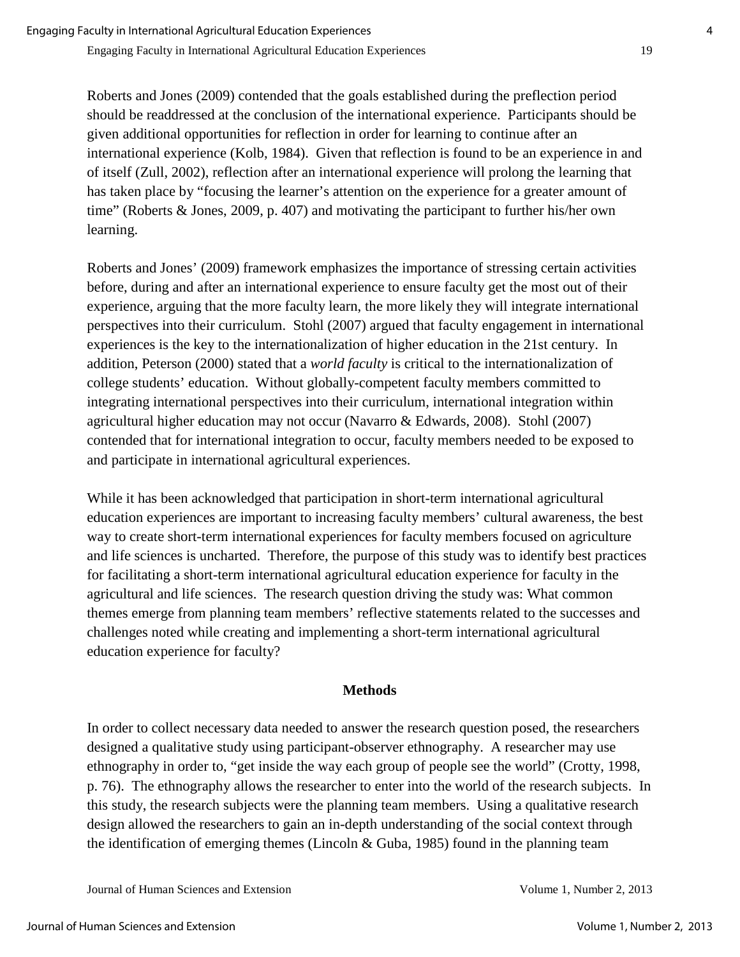Roberts and Jones (2009) contended that the goals established during the preflection period should be readdressed at the conclusion of the international experience. Participants should be given additional opportunities for reflection in order for learning to continue after an international experience (Kolb, 1984). Given that reflection is found to be an experience in and of itself (Zull, 2002), reflection after an international experience will prolong the learning that has taken place by "focusing the learner's attention on the experience for a greater amount of time" (Roberts & Jones, 2009, p. 407) and motivating the participant to further his/her own learning.

Roberts and Jones' (2009) framework emphasizes the importance of stressing certain activities before, during and after an international experience to ensure faculty get the most out of their experience, arguing that the more faculty learn, the more likely they will integrate international perspectives into their curriculum. Stohl (2007) argued that faculty engagement in international experiences is the key to the internationalization of higher education in the 21st century. In addition, Peterson (2000) stated that a *world faculty* is critical to the internationalization of college students' education. Without globally-competent faculty members committed to integrating international perspectives into their curriculum, international integration within agricultural higher education may not occur (Navarro & Edwards, 2008). Stohl (2007) contended that for international integration to occur, faculty members needed to be exposed to and participate in international agricultural experiences.

While it has been acknowledged that participation in short-term international agricultural education experiences are important to increasing faculty members' cultural awareness, the best way to create short-term international experiences for faculty members focused on agriculture and life sciences is uncharted. Therefore, the purpose of this study was to identify best practices for facilitating a short-term international agricultural education experience for faculty in the agricultural and life sciences. The research question driving the study was: What common themes emerge from planning team members' reflective statements related to the successes and challenges noted while creating and implementing a short-term international agricultural education experience for faculty?

#### **Methods**

In order to collect necessary data needed to answer the research question posed, the researchers designed a qualitative study using participant-observer ethnography. A researcher may use ethnography in order to, "get inside the way each group of people see the world" (Crotty, 1998, p. 76). The ethnography allows the researcher to enter into the world of the research subjects. In this study, the research subjects were the planning team members. Using a qualitative research design allowed the researchers to gain an in-depth understanding of the social context through the identification of emerging themes (Lincoln  $& Guba$ , 1985) found in the planning team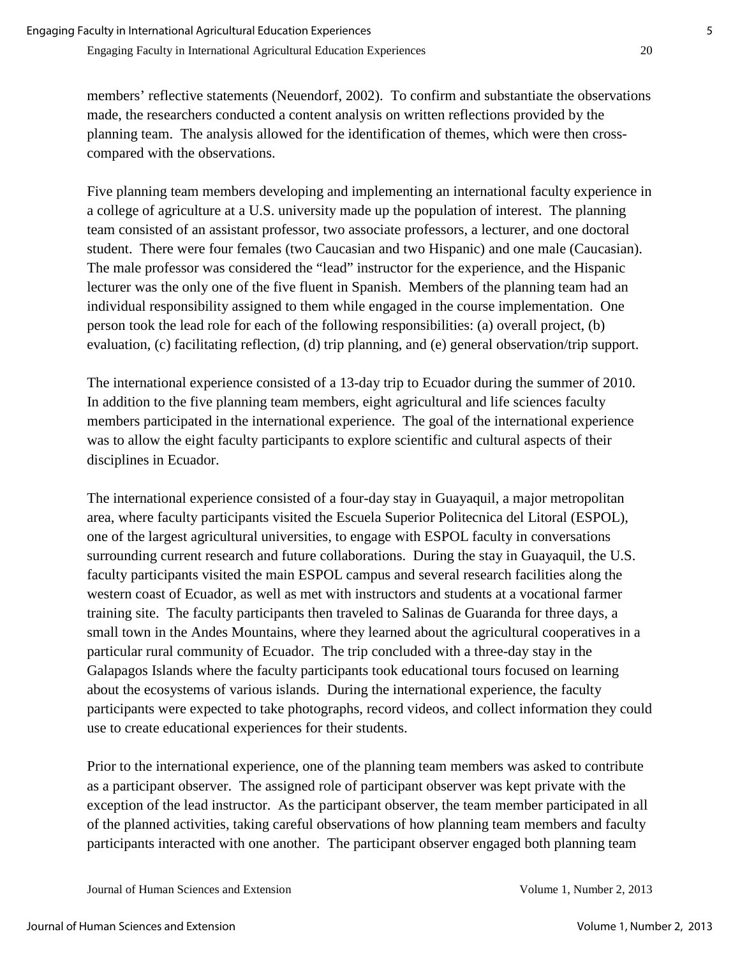members' reflective statements (Neuendorf, 2002). To confirm and substantiate the observations made, the researchers conducted a content analysis on written reflections provided by the planning team. The analysis allowed for the identification of themes, which were then crosscompared with the observations.

Five planning team members developing and implementing an international faculty experience in a college of agriculture at a U.S. university made up the population of interest. The planning team consisted of an assistant professor, two associate professors, a lecturer, and one doctoral student. There were four females (two Caucasian and two Hispanic) and one male (Caucasian). The male professor was considered the "lead" instructor for the experience, and the Hispanic lecturer was the only one of the five fluent in Spanish. Members of the planning team had an individual responsibility assigned to them while engaged in the course implementation. One person took the lead role for each of the following responsibilities: (a) overall project, (b) evaluation, (c) facilitating reflection, (d) trip planning, and (e) general observation/trip support.

The international experience consisted of a 13-day trip to Ecuador during the summer of 2010. In addition to the five planning team members, eight agricultural and life sciences faculty members participated in the international experience. The goal of the international experience was to allow the eight faculty participants to explore scientific and cultural aspects of their disciplines in Ecuador.

The international experience consisted of a four-day stay in Guayaquil, a major metropolitan area, where faculty participants visited the Escuela Superior Politecnica del Litoral (ESPOL), one of the largest agricultural universities, to engage with ESPOL faculty in conversations surrounding current research and future collaborations. During the stay in Guayaquil, the U.S. faculty participants visited the main ESPOL campus and several research facilities along the western coast of Ecuador, as well as met with instructors and students at a vocational farmer training site. The faculty participants then traveled to Salinas de Guaranda for three days, a small town in the Andes Mountains, where they learned about the agricultural cooperatives in a particular rural community of Ecuador. The trip concluded with a three-day stay in the Galapagos Islands where the faculty participants took educational tours focused on learning about the ecosystems of various islands. During the international experience, the faculty participants were expected to take photographs, record videos, and collect information they could use to create educational experiences for their students.

Prior to the international experience, one of the planning team members was asked to contribute as a participant observer. The assigned role of participant observer was kept private with the exception of the lead instructor. As the participant observer, the team member participated in all of the planned activities, taking careful observations of how planning team members and faculty participants interacted with one another. The participant observer engaged both planning team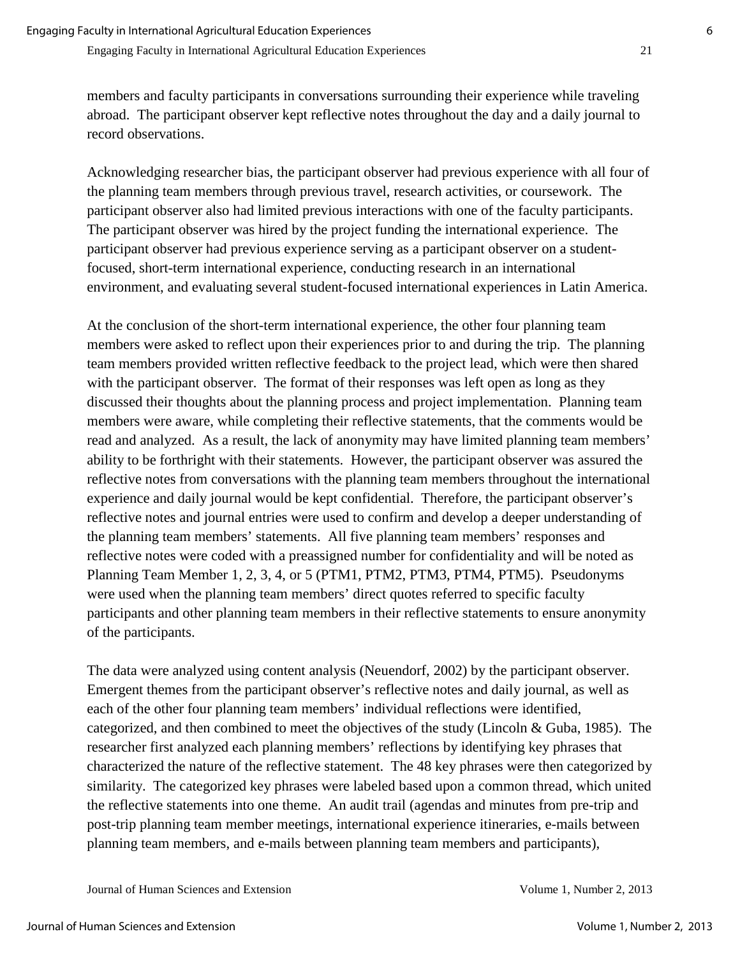members and faculty participants in conversations surrounding their experience while traveling abroad. The participant observer kept reflective notes throughout the day and a daily journal to record observations.

Acknowledging researcher bias, the participant observer had previous experience with all four of the planning team members through previous travel, research activities, or coursework. The participant observer also had limited previous interactions with one of the faculty participants. The participant observer was hired by the project funding the international experience. The participant observer had previous experience serving as a participant observer on a studentfocused, short-term international experience, conducting research in an international environment, and evaluating several student-focused international experiences in Latin America.

At the conclusion of the short-term international experience, the other four planning team members were asked to reflect upon their experiences prior to and during the trip. The planning team members provided written reflective feedback to the project lead, which were then shared with the participant observer. The format of their responses was left open as long as they discussed their thoughts about the planning process and project implementation. Planning team members were aware, while completing their reflective statements, that the comments would be read and analyzed. As a result, the lack of anonymity may have limited planning team members' ability to be forthright with their statements. However, the participant observer was assured the reflective notes from conversations with the planning team members throughout the international experience and daily journal would be kept confidential. Therefore, the participant observer's reflective notes and journal entries were used to confirm and develop a deeper understanding of the planning team members' statements. All five planning team members' responses and reflective notes were coded with a preassigned number for confidentiality and will be noted as Planning Team Member 1, 2, 3, 4, or 5 (PTM1, PTM2, PTM3, PTM4, PTM5). Pseudonyms were used when the planning team members' direct quotes referred to specific faculty participants and other planning team members in their reflective statements to ensure anonymity of the participants.

The data were analyzed using content analysis (Neuendorf, 2002) by the participant observer. Emergent themes from the participant observer's reflective notes and daily journal, as well as each of the other four planning team members' individual reflections were identified, categorized, and then combined to meet the objectives of the study (Lincoln & Guba, 1985). The researcher first analyzed each planning members' reflections by identifying key phrases that characterized the nature of the reflective statement. The 48 key phrases were then categorized by similarity. The categorized key phrases were labeled based upon a common thread, which united the reflective statements into one theme. An audit trail (agendas and minutes from pre-trip and post-trip planning team member meetings, international experience itineraries, e-mails between planning team members, and e-mails between planning team members and participants),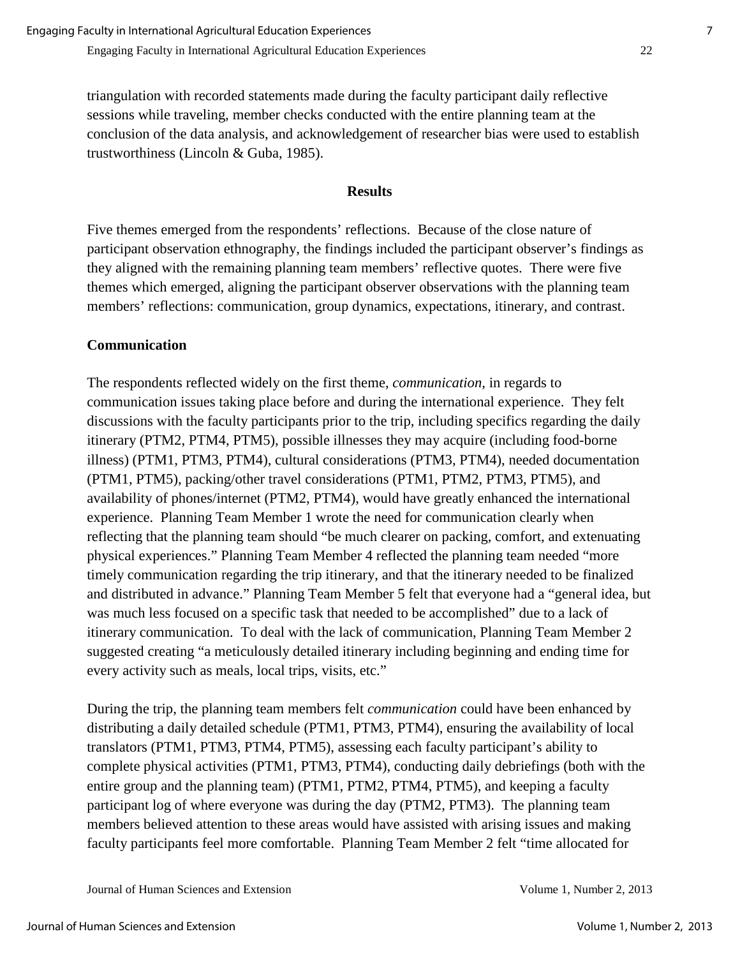triangulation with recorded statements made during the faculty participant daily reflective sessions while traveling, member checks conducted with the entire planning team at the conclusion of the data analysis, and acknowledgement of researcher bias were used to establish trustworthiness (Lincoln & Guba, 1985).

#### **Results**

Five themes emerged from the respondents' reflections. Because of the close nature of participant observation ethnography, the findings included the participant observer's findings as they aligned with the remaining planning team members' reflective quotes. There were five themes which emerged, aligning the participant observer observations with the planning team members' reflections: communication, group dynamics, expectations, itinerary, and contrast.

#### **Communication**

The respondents reflected widely on the first theme, *communication,* in regards to communication issues taking place before and during the international experience. They felt discussions with the faculty participants prior to the trip, including specifics regarding the daily itinerary (PTM2, PTM4, PTM5), possible illnesses they may acquire (including food-borne illness) (PTM1, PTM3, PTM4), cultural considerations (PTM3, PTM4), needed documentation (PTM1, PTM5), packing/other travel considerations (PTM1, PTM2, PTM3, PTM5), and availability of phones/internet (PTM2, PTM4), would have greatly enhanced the international experience. Planning Team Member 1 wrote the need for communication clearly when reflecting that the planning team should "be much clearer on packing, comfort, and extenuating physical experiences." Planning Team Member 4 reflected the planning team needed "more timely communication regarding the trip itinerary, and that the itinerary needed to be finalized and distributed in advance." Planning Team Member 5 felt that everyone had a "general idea, but was much less focused on a specific task that needed to be accomplished" due to a lack of itinerary communication. To deal with the lack of communication, Planning Team Member 2 suggested creating "a meticulously detailed itinerary including beginning and ending time for every activity such as meals, local trips, visits, etc."

During the trip, the planning team members felt *communication* could have been enhanced by distributing a daily detailed schedule (PTM1, PTM3, PTM4), ensuring the availability of local translators (PTM1, PTM3, PTM4, PTM5), assessing each faculty participant's ability to complete physical activities (PTM1, PTM3, PTM4), conducting daily debriefings (both with the entire group and the planning team) (PTM1, PTM2, PTM4, PTM5), and keeping a faculty participant log of where everyone was during the day (PTM2, PTM3). The planning team members believed attention to these areas would have assisted with arising issues and making faculty participants feel more comfortable. Planning Team Member 2 felt "time allocated for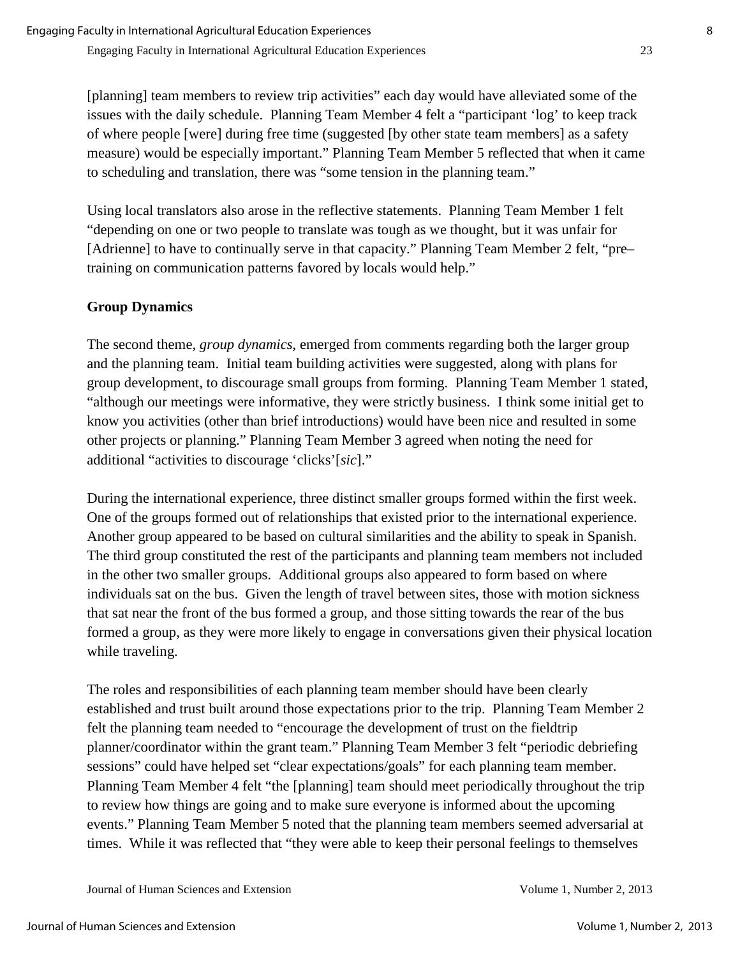[planning] team members to review trip activities" each day would have alleviated some of the issues with the daily schedule. Planning Team Member 4 felt a "participant 'log' to keep track of where people [were] during free time (suggested [by other state team members] as a safety measure) would be especially important." Planning Team Member 5 reflected that when it came to scheduling and translation, there was "some tension in the planning team."

Using local translators also arose in the reflective statements. Planning Team Member 1 felt "depending on one or two people to translate was tough as we thought, but it was unfair for [Adrienne] to have to continually serve in that capacity." Planning Team Member 2 felt, "pretraining on communication patterns favored by locals would help."

### **Group Dynamics**

The second theme, *group dynamics*, emerged from comments regarding both the larger group and the planning team. Initial team building activities were suggested, along with plans for group development, to discourage small groups from forming. Planning Team Member 1 stated, "although our meetings were informative, they were strictly business. I think some initial get to know you activities (other than brief introductions) would have been nice and resulted in some other projects or planning." Planning Team Member 3 agreed when noting the need for additional "activities to discourage 'clicks'[*sic*]."

During the international experience, three distinct smaller groups formed within the first week. One of the groups formed out of relationships that existed prior to the international experience. Another group appeared to be based on cultural similarities and the ability to speak in Spanish. The third group constituted the rest of the participants and planning team members not included in the other two smaller groups. Additional groups also appeared to form based on where individuals sat on the bus. Given the length of travel between sites, those with motion sickness that sat near the front of the bus formed a group, and those sitting towards the rear of the bus formed a group, as they were more likely to engage in conversations given their physical location while traveling.

The roles and responsibilities of each planning team member should have been clearly established and trust built around those expectations prior to the trip. Planning Team Member 2 felt the planning team needed to "encourage the development of trust on the fieldtrip planner/coordinator within the grant team." Planning Team Member 3 felt "periodic debriefing sessions" could have helped set "clear expectations/goals" for each planning team member. Planning Team Member 4 felt "the [planning] team should meet periodically throughout the trip to review how things are going and to make sure everyone is informed about the upcoming events." Planning Team Member 5 noted that the planning team members seemed adversarial at times. While it was reflected that "they were able to keep their personal feelings to themselves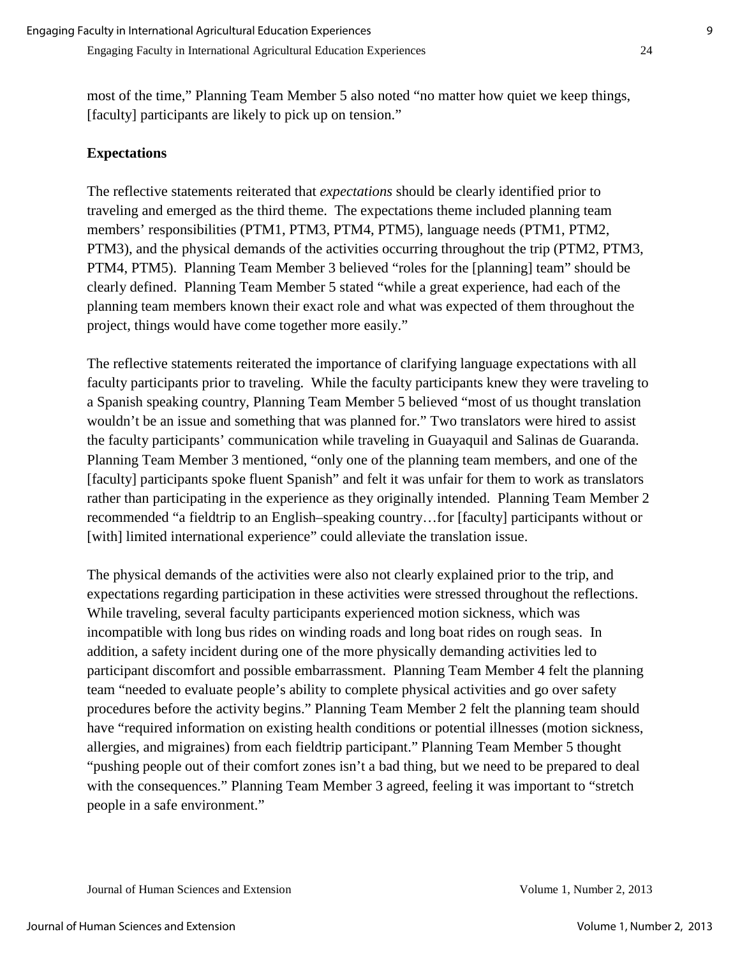most of the time," Planning Team Member 5 also noted "no matter how quiet we keep things, [faculty] participants are likely to pick up on tension."

#### **Expectations**

The reflective statements reiterated that *expectations* should be clearly identified prior to traveling and emerged as the third theme. The expectations theme included planning team members' responsibilities (PTM1, PTM3, PTM4, PTM5), language needs (PTM1, PTM2, PTM3), and the physical demands of the activities occurring throughout the trip (PTM2, PTM3, PTM4, PTM5). Planning Team Member 3 believed "roles for the [planning] team" should be clearly defined. Planning Team Member 5 stated "while a great experience, had each of the planning team members known their exact role and what was expected of them throughout the project, things would have come together more easily."

The reflective statements reiterated the importance of clarifying language expectations with all faculty participants prior to traveling. While the faculty participants knew they were traveling to a Spanish speaking country, Planning Team Member 5 believed "most of us thought translation wouldn't be an issue and something that was planned for." Two translators were hired to assist the faculty participants' communication while traveling in Guayaquil and Salinas de Guaranda. Planning Team Member 3 mentioned, "only one of the planning team members, and one of the [faculty] participants spoke fluent Spanish" and felt it was unfair for them to work as translators rather than participating in the experience as they originally intended. Planning Team Member 2 recommended "a fieldtrip to an English–speaking country…for [faculty] participants without or [with] limited international experience" could alleviate the translation issue.

The physical demands of the activities were also not clearly explained prior to the trip, and expectations regarding participation in these activities were stressed throughout the reflections. While traveling, several faculty participants experienced motion sickness, which was incompatible with long bus rides on winding roads and long boat rides on rough seas. In addition, a safety incident during one of the more physically demanding activities led to participant discomfort and possible embarrassment. Planning Team Member 4 felt the planning team "needed to evaluate people's ability to complete physical activities and go over safety procedures before the activity begins." Planning Team Member 2 felt the planning team should have "required information on existing health conditions or potential illnesses (motion sickness, allergies, and migraines) from each fieldtrip participant." Planning Team Member 5 thought "pushing people out of their comfort zones isn't a bad thing, but we need to be prepared to deal with the consequences." Planning Team Member 3 agreed, feeling it was important to "stretch" people in a safe environment."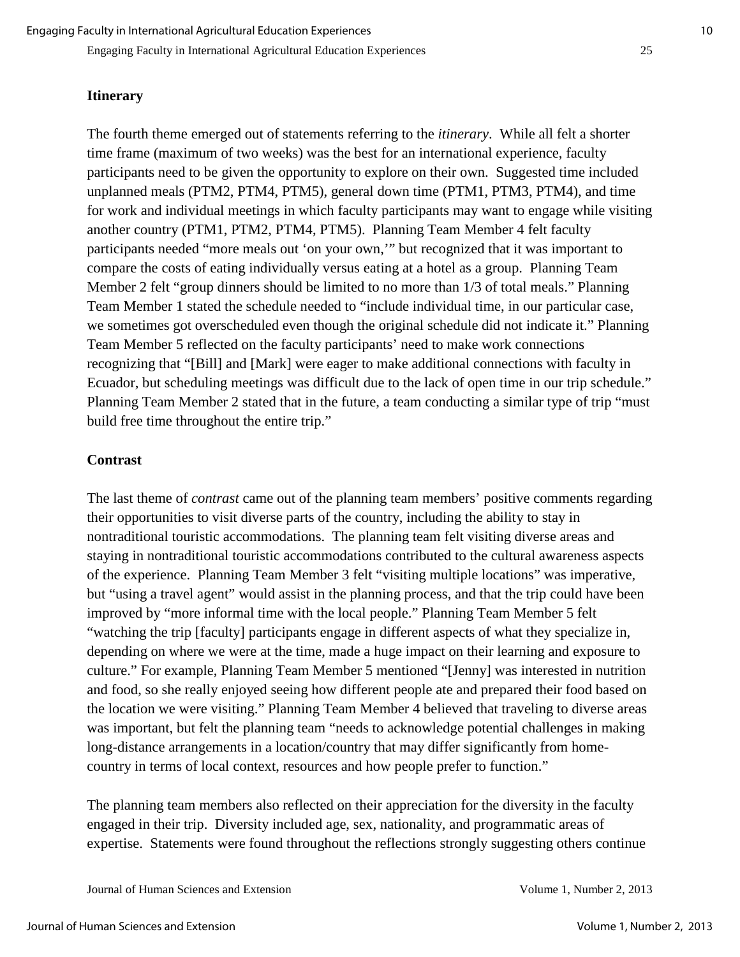Engaging Faculty in International Agricultural Education Experiences 25

#### **Itinerary**

The fourth theme emerged out of statements referring to the *itinerary*. While all felt a shorter time frame (maximum of two weeks) was the best for an international experience, faculty participants need to be given the opportunity to explore on their own. Suggested time included unplanned meals (PTM2, PTM4, PTM5), general down time (PTM1, PTM3, PTM4), and time for work and individual meetings in which faculty participants may want to engage while visiting another country (PTM1, PTM2, PTM4, PTM5). Planning Team Member 4 felt faculty participants needed "more meals out 'on your own,'" but recognized that it was important to compare the costs of eating individually versus eating at a hotel as a group. Planning Team Member 2 felt "group dinners should be limited to no more than 1/3 of total meals." Planning Team Member 1 stated the schedule needed to "include individual time, in our particular case, we sometimes got overscheduled even though the original schedule did not indicate it." Planning Team Member 5 reflected on the faculty participants' need to make work connections recognizing that "[Bill] and [Mark] were eager to make additional connections with faculty in Ecuador, but scheduling meetings was difficult due to the lack of open time in our trip schedule." Planning Team Member 2 stated that in the future, a team conducting a similar type of trip "must build free time throughout the entire trip."

#### **Contrast**

The last theme of *contrast* came out of the planning team members' positive comments regarding their opportunities to visit diverse parts of the country, including the ability to stay in nontraditional touristic accommodations. The planning team felt visiting diverse areas and staying in nontraditional touristic accommodations contributed to the cultural awareness aspects of the experience. Planning Team Member 3 felt "visiting multiple locations" was imperative, but "using a travel agent" would assist in the planning process, and that the trip could have been improved by "more informal time with the local people." Planning Team Member 5 felt "watching the trip [faculty] participants engage in different aspects of what they specialize in, depending on where we were at the time, made a huge impact on their learning and exposure to culture." For example, Planning Team Member 5 mentioned "[Jenny] was interested in nutrition and food, so she really enjoyed seeing how different people ate and prepared their food based on the location we were visiting." Planning Team Member 4 believed that traveling to diverse areas was important, but felt the planning team "needs to acknowledge potential challenges in making long-distance arrangements in a location/country that may differ significantly from homecountry in terms of local context, resources and how people prefer to function."

The planning team members also reflected on their appreciation for the diversity in the faculty engaged in their trip. Diversity included age, sex, nationality, and programmatic areas of expertise. Statements were found throughout the reflections strongly suggesting others continue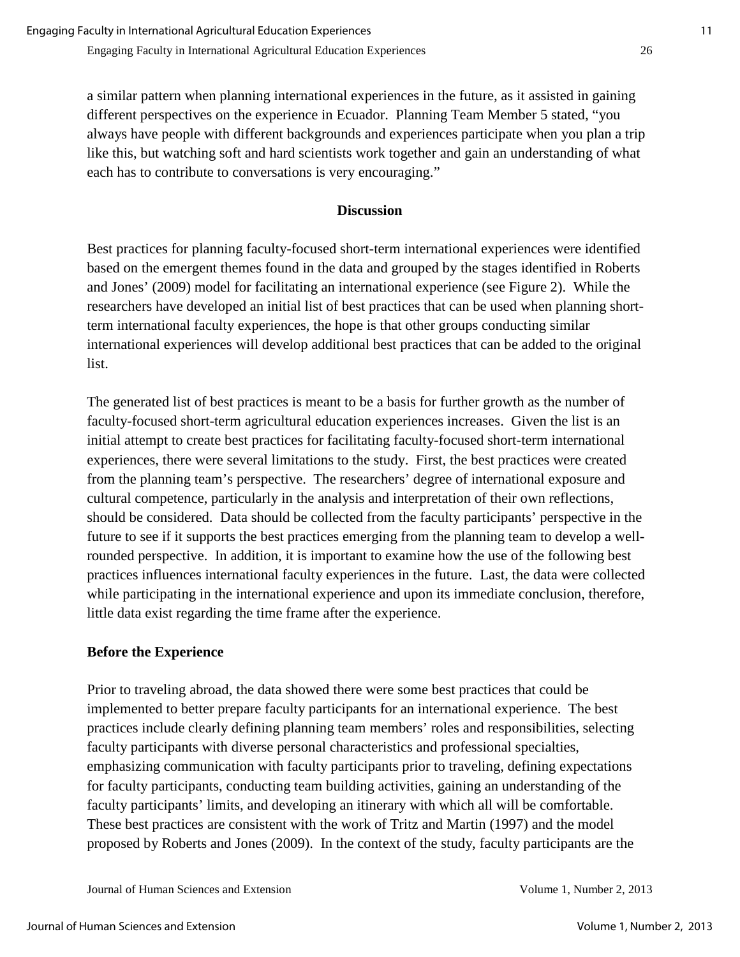a similar pattern when planning international experiences in the future, as it assisted in gaining different perspectives on the experience in Ecuador. Planning Team Member 5 stated, "you always have people with different backgrounds and experiences participate when you plan a trip like this, but watching soft and hard scientists work together and gain an understanding of what each has to contribute to conversations is very encouraging."

#### **Discussion**

Best practices for planning faculty-focused short-term international experiences were identified based on the emergent themes found in the data and grouped by the stages identified in Roberts and Jones' (2009) model for facilitating an international experience (see Figure 2). While the researchers have developed an initial list of best practices that can be used when planning shortterm international faculty experiences, the hope is that other groups conducting similar international experiences will develop additional best practices that can be added to the original list.

The generated list of best practices is meant to be a basis for further growth as the number of faculty-focused short-term agricultural education experiences increases. Given the list is an initial attempt to create best practices for facilitating faculty-focused short-term international experiences, there were several limitations to the study. First, the best practices were created from the planning team's perspective. The researchers' degree of international exposure and cultural competence, particularly in the analysis and interpretation of their own reflections, should be considered. Data should be collected from the faculty participants' perspective in the future to see if it supports the best practices emerging from the planning team to develop a wellrounded perspective. In addition, it is important to examine how the use of the following best practices influences international faculty experiences in the future. Last, the data were collected while participating in the international experience and upon its immediate conclusion, therefore, little data exist regarding the time frame after the experience.

#### **Before the Experience**

Prior to traveling abroad, the data showed there were some best practices that could be implemented to better prepare faculty participants for an international experience. The best practices include clearly defining planning team members' roles and responsibilities, selecting faculty participants with diverse personal characteristics and professional specialties, emphasizing communication with faculty participants prior to traveling, defining expectations for faculty participants, conducting team building activities, gaining an understanding of the faculty participants' limits, and developing an itinerary with which all will be comfortable. These best practices are consistent with the work of Tritz and Martin (1997) and the model proposed by Roberts and Jones (2009). In the context of the study, faculty participants are the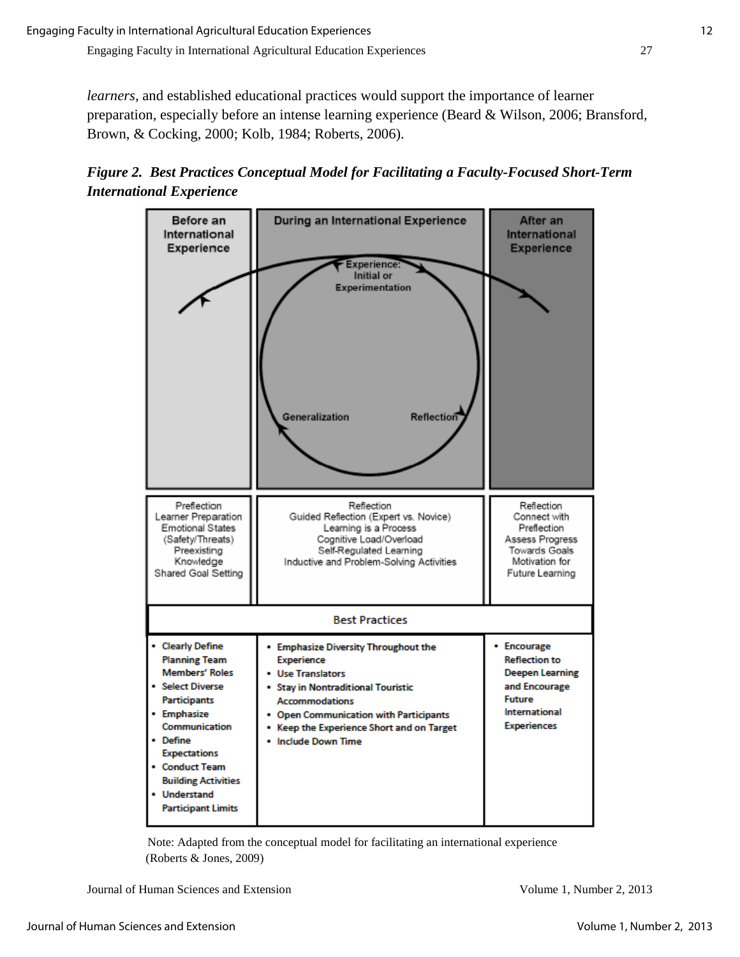*learners,* and established educational practices would support the importance of learner preparation, especially before an intense learning experience (Beard & Wilson, 2006; Bransford, Brown, & Cocking, 2000; Kolb, 1984; Roberts, 2006).

*Figure 2. Best Practices Conceptual Model for Facilitating a Faculty-Focused Short-Term International Experience*



 Note: Adapted from the conceptual model for facilitating an international experience (Roberts & Jones, 2009)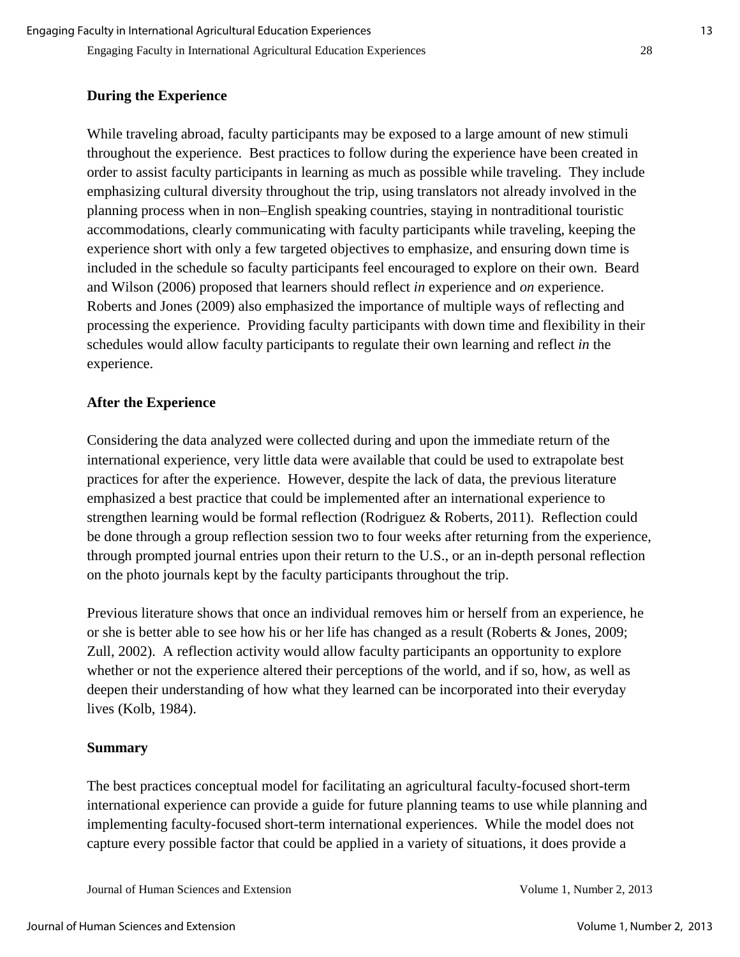#### **During the Experience**

While traveling abroad, faculty participants may be exposed to a large amount of new stimuli throughout the experience. Best practices to follow during the experience have been created in order to assist faculty participants in learning as much as possible while traveling. They include emphasizing cultural diversity throughout the trip, using translators not already involved in the planning process when in non–English speaking countries, staying in nontraditional touristic accommodations, clearly communicating with faculty participants while traveling, keeping the experience short with only a few targeted objectives to emphasize, and ensuring down time is included in the schedule so faculty participants feel encouraged to explore on their own. Beard and Wilson (2006) proposed that learners should reflect *in* experience and *on* experience. Roberts and Jones (2009) also emphasized the importance of multiple ways of reflecting and processing the experience. Providing faculty participants with down time and flexibility in their schedules would allow faculty participants to regulate their own learning and reflect *in* the experience.

#### **After the Experience**

Considering the data analyzed were collected during and upon the immediate return of the international experience, very little data were available that could be used to extrapolate best practices for after the experience. However, despite the lack of data, the previous literature emphasized a best practice that could be implemented after an international experience to strengthen learning would be formal reflection (Rodriguez & Roberts, 2011). Reflection could be done through a group reflection session two to four weeks after returning from the experience, through prompted journal entries upon their return to the U.S., or an in-depth personal reflection on the photo journals kept by the faculty participants throughout the trip.

Previous literature shows that once an individual removes him or herself from an experience, he or she is better able to see how his or her life has changed as a result (Roberts & Jones, 2009; Zull, 2002). A reflection activity would allow faculty participants an opportunity to explore whether or not the experience altered their perceptions of the world, and if so, how, as well as deepen their understanding of how what they learned can be incorporated into their everyday lives (Kolb, 1984).

#### **Summary**

The best practices conceptual model for facilitating an agricultural faculty-focused short-term international experience can provide a guide for future planning teams to use while planning and implementing faculty-focused short-term international experiences. While the model does not capture every possible factor that could be applied in a variety of situations, it does provide a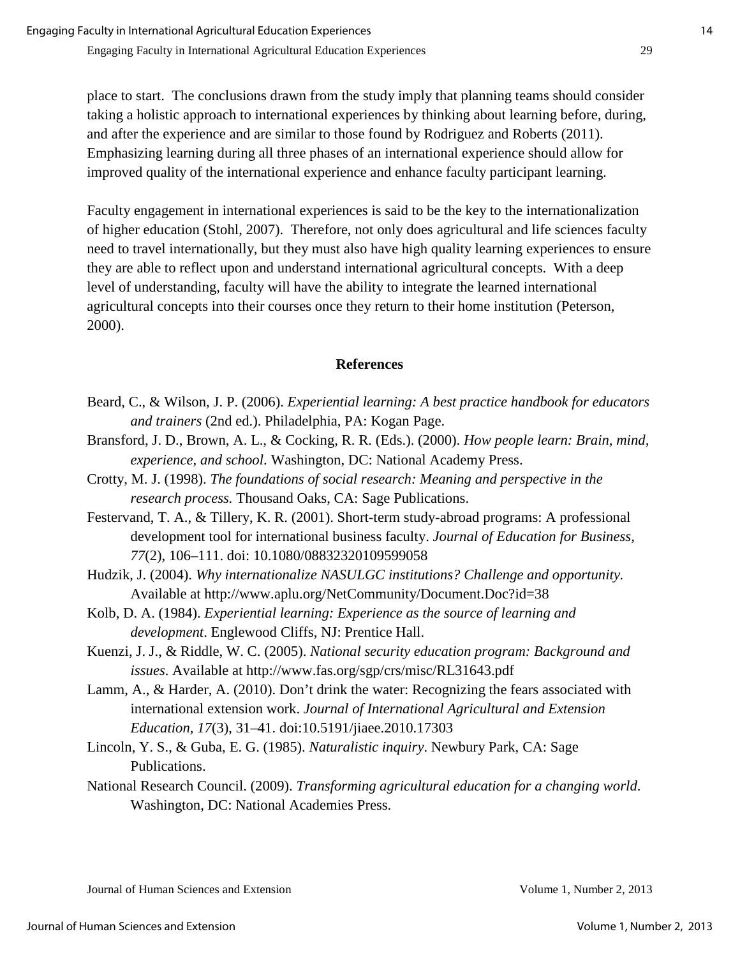place to start. The conclusions drawn from the study imply that planning teams should consider taking a holistic approach to international experiences by thinking about learning before, during, and after the experience and are similar to those found by Rodriguez and Roberts (2011). Emphasizing learning during all three phases of an international experience should allow for improved quality of the international experience and enhance faculty participant learning.

Faculty engagement in international experiences is said to be the key to the internationalization of higher education (Stohl, 2007). Therefore, not only does agricultural and life sciences faculty need to travel internationally, but they must also have high quality learning experiences to ensure they are able to reflect upon and understand international agricultural concepts. With a deep level of understanding, faculty will have the ability to integrate the learned international agricultural concepts into their courses once they return to their home institution (Peterson, 2000).

#### **References**

- Beard, C., & Wilson, J. P. (2006). *Experiential learning: A best practice handbook for educators and trainers* (2nd ed.). Philadelphia, PA: Kogan Page.
- Bransford, J. D., Brown, A. L., & Cocking, R. R. (Eds.). (2000). *How people learn: Brain, mind, experience, and school*. Washington, DC: National Academy Press.
- Crotty, M. J. (1998). *The foundations of social research: Meaning and perspective in the research process.* Thousand Oaks, CA: Sage Publications.
- Festervand, T. A., & Tillery, K. R. (2001). Short-term study-abroad programs: A professional development tool for international business faculty. *Journal of Education for Business, 77*(2), 106–111. doi: 10.1080/08832320109599058
- Hudzik, J. (2004). *Why internationalize NASULGC institutions? Challenge and opportunity.* Available at http://www.aplu.org/NetCommunity/Document.Doc?id=38
- Kolb, D. A. (1984). *Experiential learning: Experience as the source of learning and development*. Englewood Cliffs, NJ: Prentice Hall.
- Kuenzi, J. J., & Riddle, W. C. (2005). *National security education program: Background and issues*. Available at http://www.fas.org/sgp/crs/misc/RL31643.pdf
- Lamm, A., & Harder, A. (2010). Don't drink the water: Recognizing the fears associated with international extension work. *Journal of International Agricultural and Extension Education, 17*(3), 31–41. doi:10.5191/jiaee.2010.17303
- Lincoln, Y. S., & Guba, E. G. (1985). *Naturalistic inquiry*. Newbury Park, CA: Sage Publications.
- National Research Council. (2009). *Transforming agricultural education for a changing world*. Washington, DC: National Academies Press.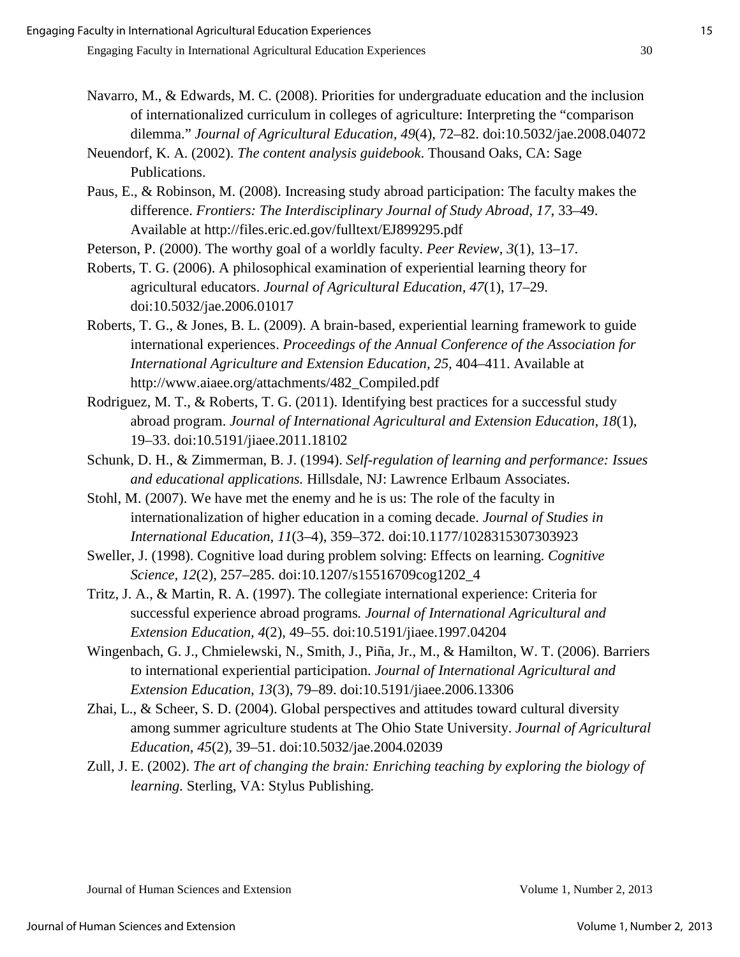- Navarro, M., & Edwards, M. C. (2008). Priorities for undergraduate education and the inclusion of internationalized curriculum in colleges of agriculture: Interpreting the "comparison dilemma." *Journal of Agricultural Education, 49*(4), 72–82. doi:10.5032/jae.2008.04072
- Neuendorf, K. A. (2002). *The content analysis guidebook*. Thousand Oaks, CA: Sage Publications.
- Paus, E., & Robinson, M. (2008). Increasing study abroad participation: The faculty makes the difference. *Frontiers: The Interdisciplinary Journal of Study Abroad, 17*, 33–49. Available at http://files.eric.ed.gov/fulltext/EJ899295.pdf

Peterson, P. (2000). The worthy goal of a worldly faculty. *Peer Review, 3*(1), 13–17.

- Roberts, T. G. (2006). A philosophical examination of experiential learning theory for agricultural educators. *Journal of Agricultural Education, 47*(1), 17–29. doi:10.5032/jae.2006.01017
- Roberts, T. G., & Jones, B. L. (2009). A brain-based, experiential learning framework to guide international experiences. *Proceedings of the Annual Conference of the Association for International Agriculture and Extension Education, 25, 404–411. Available at* http://www.aiaee.org/attachments/482\_Compiled.pdf
- Rodriguez, M. T., & Roberts, T. G. (2011). Identifying best practices for a successful study abroad program. *Journal of International Agricultural and Extension Education, 18*(1), 19–33. doi:10.5191/jiaee.2011.18102
- Schunk, D. H., & Zimmerman, B. J. (1994). *Self-regulation of learning and performance: Issues and educational applications.* Hillsdale, NJ: Lawrence Erlbaum Associates.
- Stohl, M. (2007). We have met the enemy and he is us: The role of the faculty in internationalization of higher education in a coming decade. *Journal of Studies in International Education, 11*(3–4), 359–372. doi:10.1177/1028315307303923
- Sweller, J. (1998). Cognitive load during problem solving: Effects on learning. *Cognitive Science, 12*(2)*,* 257–285. doi:10.1207/s15516709cog1202\_4
- Tritz, J. A., & Martin, R. A. (1997). The collegiate international experience: Criteria for successful experience abroad programs*. Journal of International Agricultural and Extension Education, 4*(2), 49–55. doi:10.5191/jiaee.1997.04204
- Wingenbach, G. J., Chmielewski, N., Smith, J., Piña, Jr., M., & Hamilton, W. T. (2006). Barriers to international experiential participation. *Journal of International Agricultural and Extension Education, 13*(3), 79–89. doi:10.5191/jiaee.2006.13306
- Zhai, L., & Scheer, S. D. (2004). Global perspectives and attitudes toward cultural diversity among summer agriculture students at The Ohio State University. *Journal of Agricultural Education, 45*(2), 39–51. doi:10.5032/jae.2004.02039
- Zull, J. E. (2002). *The art of changing the brain: Enriching teaching by exploring the biology of learning.* Sterling, VA: Stylus Publishing.